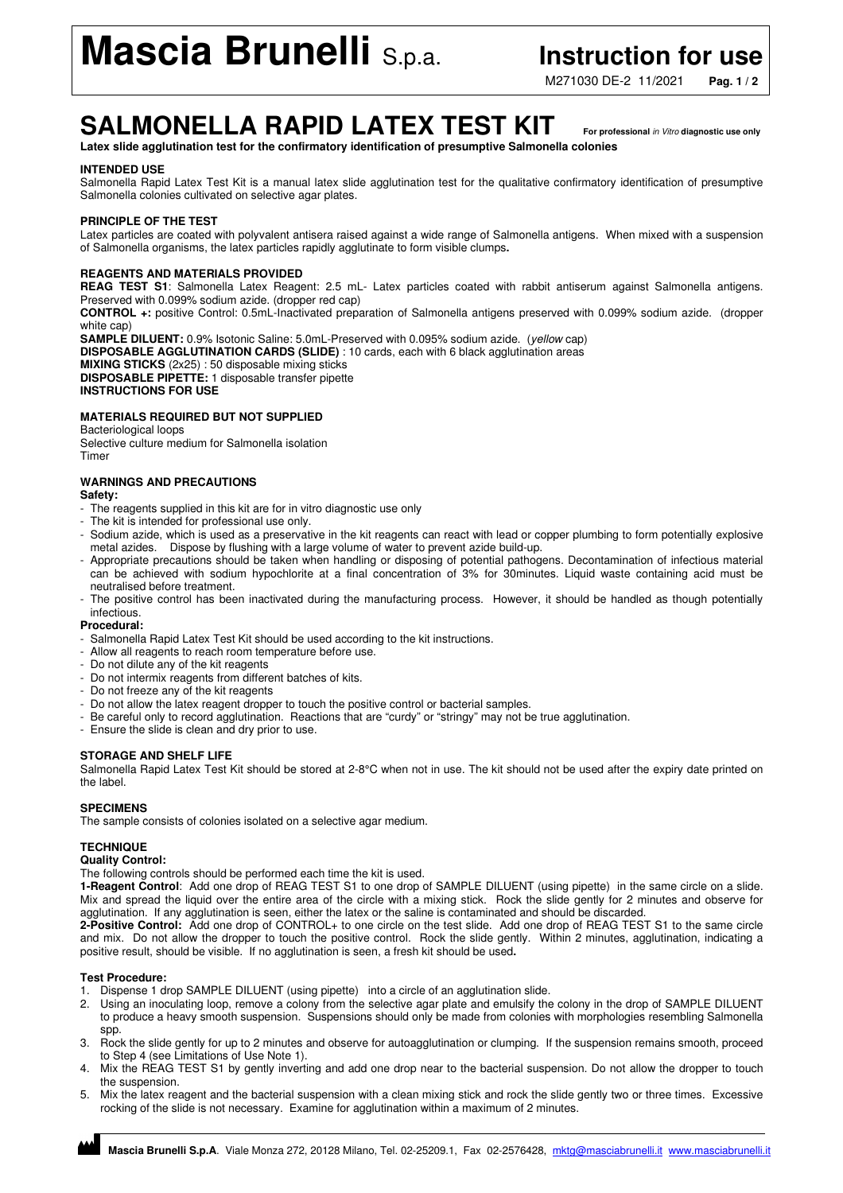# **Mascia Brunelli** S.p.a. **Instruction for use**

M271030 DE-2 11/2021 **Pag. 1 / 2**

## **SALMONELLA RAPID LATEX TEST KIT For professional** in Vitro **diagnostic use only**

**Latex slide agglutination test for the confirmatory identification of presumptive Salmonella colonies** 

#### **INTENDED USE**

Salmonella Rapid Latex Test Kit is a manual latex slide agglutination test for the qualitative confirmatory identification of presumptive Salmonella colonies cultivated on selective agar plates.

#### **PRINCIPLE OF THE TEST**

Latex particles are coated with polyvalent antisera raised against a wide range of Salmonella antigens. When mixed with a suspension of Salmonella organisms, the latex particles rapidly agglutinate to form visible clumps**.** 

#### **REAGENTS AND MATERIALS PROVIDED**

**REAG TEST S1**: Salmonella Latex Reagent: 2.5 mL- Latex particles coated with rabbit antiserum against Salmonella antigens. Preserved with 0.099% sodium azide. (dropper red cap)

**CONTROL +:** positive Control: 0.5mL-Inactivated preparation of Salmonella antigens preserved with 0.099% sodium azide. (dropper white cap)

**SAMPLE DILUENT:** 0.9% Isotonic Saline: 5.0mL-Preserved with 0.095% sodium azide. (*yellow* cap) **DISPOSABLE AGGLUTINATION CARDS (SLIDE)** : 10 cards, each with 6 black agglutination areas **MIXING STICKS** (2x25) : 50 disposable mixing sticks **DISPOSABLE PIPETTE:** 1 disposable transfer pipette **INSTRUCTIONS FOR USE** 

#### **MATERIALS REQUIRED BUT NOT SUPPLIED**

Bacteriological loops Selective culture medium for Salmonella isolation Timer

#### **WARNINGS AND PRECAUTIONS**

**Safety:** 

- The reagents supplied in this kit are for in vitro diagnostic use only
- The kit is intended for professional use only.
- Sodium azide, which is used as a preservative in the kit reagents can react with lead or copper plumbing to form potentially explosive metal azides. Dispose by flushing with a large volume of water to prevent azide build-up.
- Appropriate precautions should be taken when handling or disposing of potential pathogens. Decontamination of infectious material can be achieved with sodium hypochlorite at a final concentration of 3% for 30minutes. Liquid waste containing acid must be neutralised before treatment.
- The positive control has been inactivated during the manufacturing process. However, it should be handled as though potentially infectious.

**Procedural:** 

- Salmonella Rapid Latex Test Kit should be used according to the kit instructions.
- Allow all reagents to reach room temperature before use.
- Do not dilute any of the kit reagents
- Do not intermix reagents from different batches of kits.
- Do not freeze any of the kit reagents
- Do not allow the latex reagent dropper to touch the positive control or bacterial samples.
- Be careful only to record agglutination. Reactions that are "curdy" or "stringy" may not be true agglutination.
- Ensure the slide is clean and dry prior to use.

#### **STORAGE AND SHELF LIFE**

Salmonella Rapid Latex Test Kit should be stored at 2-8°C when not in use. The kit should not be used after the expiry date printed on the label.

#### **SPECIMENS**

The sample consists of colonies isolated on a selective agar medium.

### **TECHNIQUE**

#### **Quality Control:**

The following controls should be performed each time the kit is used.

**1-Reagent Control**: Add one drop of REAG TEST S1 to one drop of SAMPLE DILUENT (using pipette) in the same circle on a slide. Mix and spread the liquid over the entire area of the circle with a mixing stick. Rock the slide gently for 2 minutes and observe for agglutination. If any agglutination is seen, either the latex or the saline is contaminated and should be discarded.

**2-Positive Control:** Add one drop of CONTROL+ to one circle on the test slide. Add one drop of REAG TEST S1 to the same circle and mix. Do not allow the dropper to touch the positive control. Rock the slide gently. Within 2 minutes, agglutination, indicating a positive result, should be visible. If no agglutination is seen, a fresh kit should be used**.** 

#### **Test Procedure:**

1. Dispense 1 drop SAMPLE DILUENT (using pipette) into a circle of an agglutination slide.

- 2. Using an inoculating loop, remove a colony from the selective agar plate and emulsify the colony in the drop of SAMPLE DILUENT to produce a heavy smooth suspension. Suspensions should only be made from colonies with morphologies resembling Salmonella spp.
- 3. Rock the slide gently for up to 2 minutes and observe for autoagglutination or clumping. If the suspension remains smooth, proceed to Step 4 (see Limitations of Use Note 1).
- 4. Mix the REAG TEST S1 by gently inverting and add one drop near to the bacterial suspension. Do not allow the dropper to touch the suspension.
- 5. Mix the latex reagent and the bacterial suspension with a clean mixing stick and rock the slide gently two or three times. Excessive rocking of the slide is not necessary. Examine for agglutination within a maximum of 2 minutes.